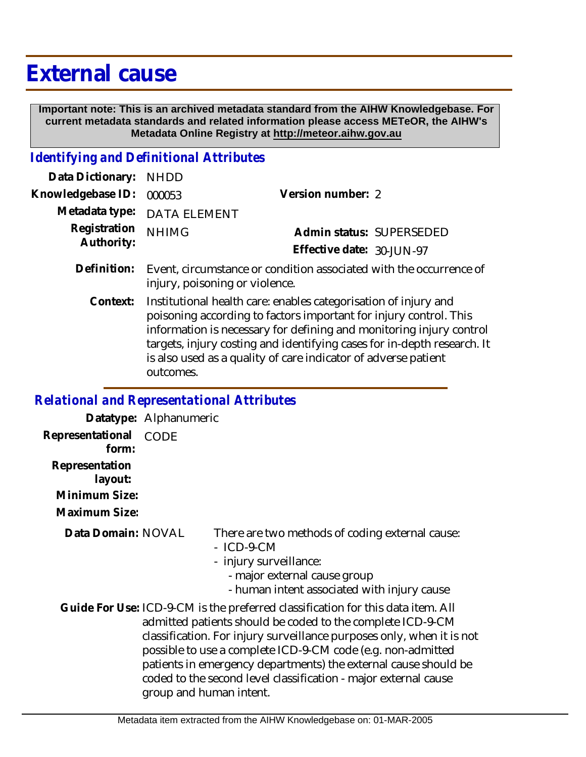# **External cause**

 **Important note: This is an archived metadata standard from the AIHW Knowledgebase. For current metadata standards and related information please access METeOR, the AIHW's Metadata Online Registry at http://meteor.aihw.gov.au**

## *Identifying and Definitional Attributes*

| Data Dictionary: NHDD    |                             |                           |                          |
|--------------------------|-----------------------------|---------------------------|--------------------------|
| Knowledgebase ID: 000053 |                             | Version number: 2         |                          |
|                          | Metadata type: DATA ELEMENT |                           |                          |
| Registration NHIMG       |                             |                           | Admin status: SUPERSEDED |
| Authority:               |                             | Effective date: 30-JUN-97 |                          |
|                          |                             |                           |                          |

- Definition: Event, circumstance or condition associated with the occurrence of injury, poisoning or violence.
	- Institutional health care: enables categorisation of injury and poisoning according to factors important for injury control. This information is necessary for defining and monitoring injury control targets, injury costing and identifying cases for in-depth research. It is also used as a quality of care indicator of adverse patient outcomes. **Context:**

*Relational and Representational Attributes*

**Datatype:** Alphanumeric **Representational** CODE  **form: Representation layout:**

**Minimum Size:**

**Maximum Size:**

**Data Domain:**

There are two methods of coding external cause:

- ICD-9-CM
- injury surveillance:
	- major external cause group
	- human intent associated with injury cause

Guide For Use: ICD-9-CM is the preferred classification for this data item. All admitted patients should be coded to the complete ICD-9-CM classification. For injury surveillance purposes only, when it is not possible to use a complete ICD-9-CM code (e.g. non-admitted patients in emergency departments) the external cause should be coded to the second level classification - major external cause group and human intent.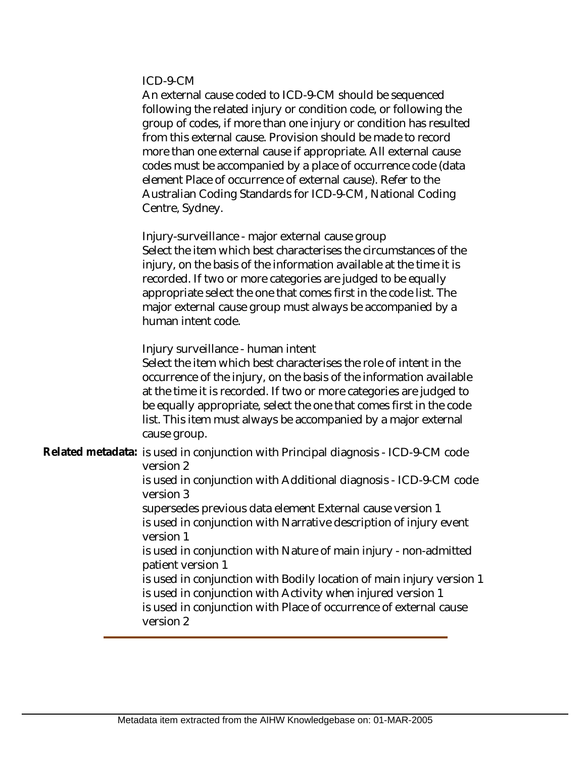#### ICD-9-CM

An external cause coded to ICD-9-CM should be sequenced following the related injury or condition code, or following the group of codes, if more than one injury or condition has resulted from this external cause. Provision should be made to record more than one external cause if appropriate. All external cause codes must be accompanied by a place of occurrence code (data element Place of occurrence of external cause). Refer to the Australian Coding Standards for ICD-9-CM, National Coding Centre, Sydney.

Injury-surveillance - major external cause group Select the item which best characterises the circumstances of the injury, on the basis of the information available at the time it is recorded. If two or more categories are judged to be equally appropriate select the one that comes first in the code list. The major external cause group must always be accompanied by a human intent code.

Injury surveillance - human intent

Select the item which best characterises the role of intent in the occurrence of the injury, on the basis of the information available at the time it is recorded. If two or more categories are judged to be equally appropriate, select the one that comes first in the code list. This item must always be accompanied by a major external cause group.

Related metadata: is used in conjunction with Principal diagnosis - ICD-9-CM code version 2

> is used in conjunction with Additional diagnosis - ICD-9-CM code version 3

supersedes previous data element External cause version 1 is used in conjunction with Narrative description of injury event version 1

is used in conjunction with Nature of main injury - non-admitted patient version 1

is used in conjunction with Bodily location of main injury version 1 is used in conjunction with Activity when injured version 1 is used in conjunction with Place of occurrence of external cause version 2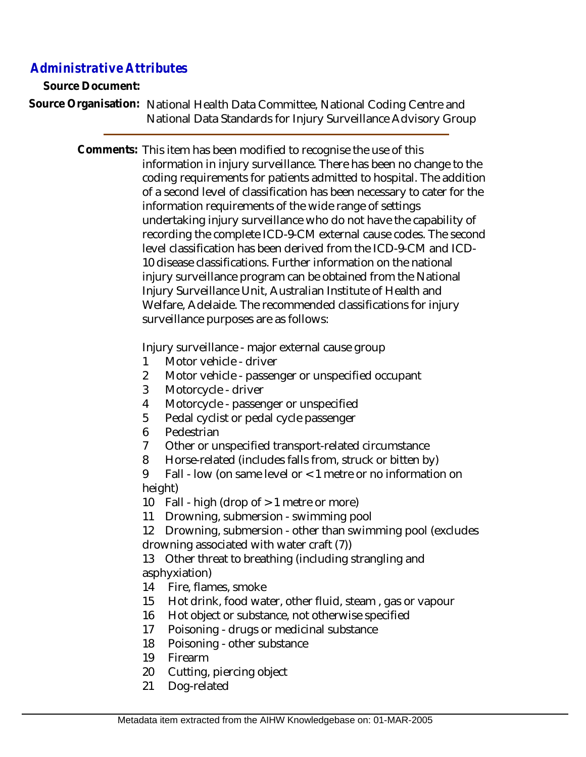# *Administrative Attributes*

**Source Document:**

Source Organisation: National Health Data Committee, National Coding Centre and National Data Standards for Injury Surveillance Advisory Group

> Comments: This item has been modified to recognise the use of this information in injury surveillance. There has been no change to the coding requirements for patients admitted to hospital. The addition of a second level of classification has been necessary to cater for the information requirements of the wide range of settings undertaking injury surveillance who do not have the capability of recording the complete ICD-9-CM external cause codes. The second level classification has been derived from the ICD-9-CM and ICD-10 disease classifications. Further information on the national injury surveillance program can be obtained from the National Injury Surveillance Unit, Australian Institute of Health and Welfare, Adelaide. The recommended classifications for injury surveillance purposes are as follows:

> > Injury surveillance - major external cause group

- 1 Motor vehicle driver
- 2 Motor vehicle passenger or unspecified occupant
- 3 Motorcycle driver
- 4 Motorcycle passenger or unspecified
- 5 Pedal cyclist or pedal cycle passenger
- 6 Pedestrian
- 7 Other or unspecified transport-related circumstance
- 8 Horse-related (includes falls from, struck or bitten by)
- 9 Fall low (on same level or < 1 metre or no information on height)

10 Fall - high (drop of > 1 metre or more)

11 Drowning, submersion - swimming pool

12 Drowning, submersion - other than swimming pool (excludes drowning associated with water craft (7))

13 Other threat to breathing (including strangling and asphyxiation)

- 14 Fire, flames, smoke
- 15 Hot drink, food water, other fluid, steam , gas or vapour
- 16 Hot object or substance, not otherwise specified
- 17 Poisoning drugs or medicinal substance
- 18 Poisoning other substance
- 19 Firearm
- 20 Cutting, piercing object
- 21 Dog-related